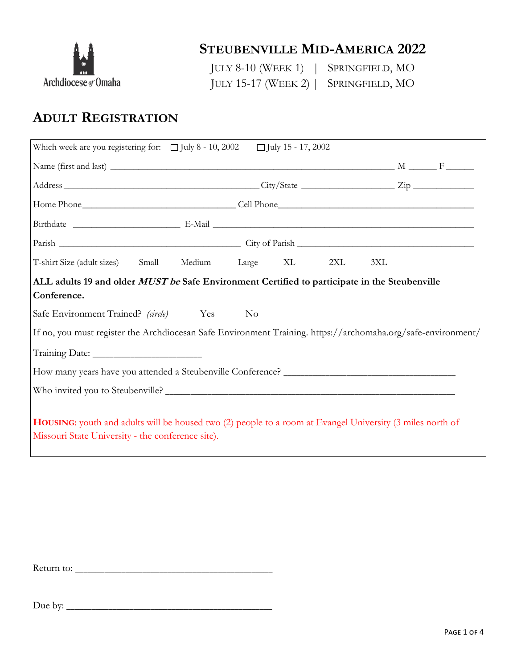

### **STEUBENVILLE MID-AMERICA 2022**

JULY 8-10 (WEEK 1) | SPRINGFIELD, MO JULY 15-17 (WEEK 2) | SPRINGFIELD, MO

# **ADULT REGISTRATION**

| Which week are you registering for: $\Box$ July 8 - 10, 2002 $\Box$ July 15 - 17, 2002                                                                         |                |     |     |  |  |
|----------------------------------------------------------------------------------------------------------------------------------------------------------------|----------------|-----|-----|--|--|
|                                                                                                                                                                |                |     |     |  |  |
|                                                                                                                                                                |                |     |     |  |  |
|                                                                                                                                                                |                |     |     |  |  |
|                                                                                                                                                                |                |     |     |  |  |
|                                                                                                                                                                |                |     |     |  |  |
| T-shirt Size (adult sizes) Small Medium Large XL                                                                                                               |                | 2XL | 3XL |  |  |
| ALL adults 19 and older MUST be Safe Environment Certified to participate in the Steubenville<br>Conference.                                                   |                |     |     |  |  |
| Safe Environment Trained? (circle) Yes                                                                                                                         | N <sub>o</sub> |     |     |  |  |
| If no, you must register the Archdiocesan Safe Environment Training. https://archomaha.org/safe-environment/                                                   |                |     |     |  |  |
|                                                                                                                                                                |                |     |     |  |  |
|                                                                                                                                                                |                |     |     |  |  |
|                                                                                                                                                                |                |     |     |  |  |
| HOUSING: youth and adults will be housed two (2) people to a room at Evangel University (3 miles north of<br>Missouri State University - the conference site). |                |     |     |  |  |

Return to: \_\_\_\_\_\_\_\_\_\_\_\_\_\_\_\_\_\_\_\_\_\_\_\_\_\_\_\_\_\_\_\_\_\_\_\_\_\_\_\_\_\_\_\_\_\_\_

Due by: \_\_\_\_\_\_\_\_\_\_\_\_\_\_\_\_\_\_\_\_\_\_\_\_\_\_\_\_\_\_\_\_\_\_\_\_\_\_\_\_\_\_\_\_\_\_\_\_\_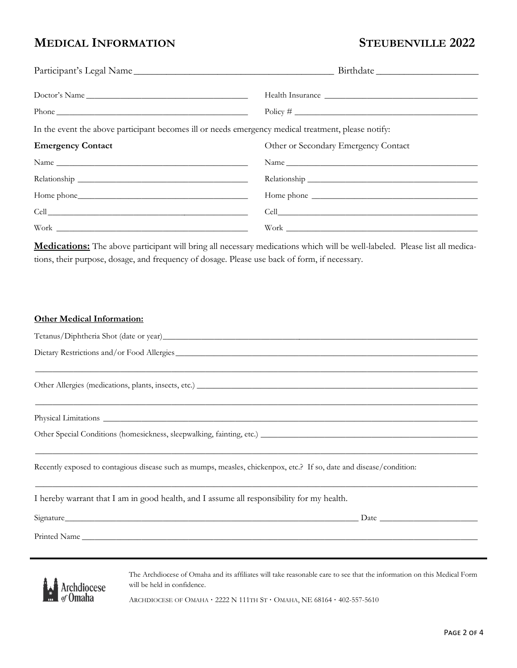### **MEDICAL INFORMATION STEUBENVILLE 2022**

| Doctor's Name                                                                                       |                                      |  |  |
|-----------------------------------------------------------------------------------------------------|--------------------------------------|--|--|
|                                                                                                     |                                      |  |  |
| In the event the above participant becomes ill or needs emergency medical treatment, please notify: |                                      |  |  |
| <b>Emergency Contact</b>                                                                            | Other or Secondary Emergency Contact |  |  |
| Name                                                                                                |                                      |  |  |
|                                                                                                     |                                      |  |  |
|                                                                                                     |                                      |  |  |
|                                                                                                     |                                      |  |  |
| $\label{thm:work} \text{Work} \begin{minipage}{.4\linewidth} \textbf{Work} \end{minipage}$          |                                      |  |  |
|                                                                                                     |                                      |  |  |

**Medications:** The above participant will bring all necessary medications which will be well-labeled. Please list all medications, their purpose, dosage, and frequency of dosage. Please use back of form, if necessary.

### **Other Medical Information:**

| Tetanus/Diphtheria Shot (date or year)_    |  |
|--------------------------------------------|--|
| Dietary Restrictions and/or Food Allergies |  |

 $\_$  , and the set of the set of the set of the set of the set of the set of the set of the set of the set of the set of the set of the set of the set of the set of the set of the set of the set of the set of the set of th

 $\_$  , and the set of the set of the set of the set of the set of the set of the set of the set of the set of the set of the set of the set of the set of the set of the set of the set of the set of the set of the set of th

 $\_$  , and the set of the set of the set of the set of the set of the set of the set of the set of the set of the set of the set of the set of the set of the set of the set of the set of the set of the set of the set of th

Other Allergies (medications, plants, insects, etc.) \_\_\_\_\_\_\_\_\_\_\_\_\_\_\_\_\_\_\_\_\_\_\_\_\_\_\_\_

Physical Limitations \_\_\_\_\_\_\_\_\_\_\_\_\_\_\_\_\_\_\_\_\_\_\_\_\_\_\_\_\_\_\_\_\_\_\_\_\_\_\_\_\_\_\_\_\_\_\_\_\_\_\_\_\_\_\_\_\_\_\_\_\_\_\_\_\_\_\_\_\_\_\_\_\_\_\_\_\_\_\_\_\_\_\_\_\_\_\_\_

Other Special Conditions (homesickness, sleepwalking, fainting, etc.) \_\_\_\_\_\_\_\_\_\_\_\_\_\_\_\_\_\_\_\_\_\_\_\_\_\_\_\_\_\_\_\_\_\_\_\_\_\_\_\_\_\_\_\_\_\_\_\_\_\_\_

Recently exposed to contagious disease such as mumps, measles, chickenpox, etc.? If so, date and disease/condition:

| I hereby warrant that I am in good health, and I assume all responsibility for my health. |  |
|-------------------------------------------------------------------------------------------|--|
|-------------------------------------------------------------------------------------------|--|

Signature\_\_\_\_\_\_\_\_\_\_\_\_\_\_\_\_\_\_\_\_\_\_\_\_\_\_\_\_\_\_\_\_\_\_\_\_\_\_\_\_\_\_\_\_\_\_\_\_\_\_\_\_\_\_\_\_\_\_\_\_\_\_\_\_\_\_\_\_\_ Date \_\_\_\_\_\_\_\_\_\_\_\_\_\_\_\_\_\_\_\_\_\_\_

Printed Name

Archdiocese of Omaha

The Archdiocese of Omaha and its affiliates will take reasonable care to see that the information on this Medical Form will be held in confidence.

ARCHDIOCESE OF OMAHA · 2222 N 111TH ST · OMAHA, NE 68164 · 402-557-5610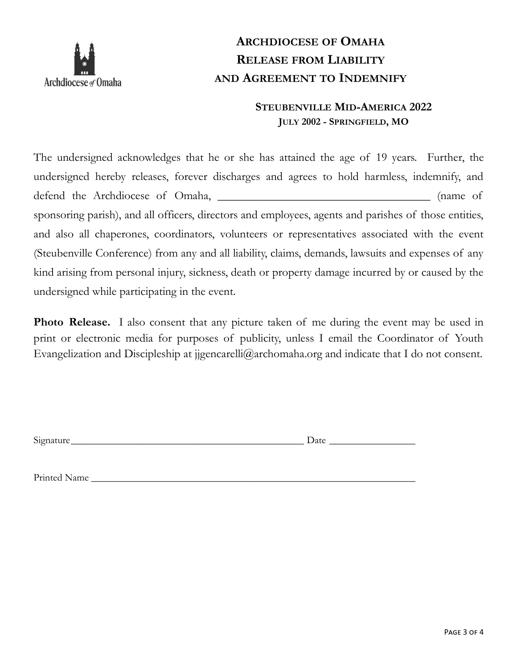

# **ARCHDIOCESE OF OMAHA RELEASE FROM LIABILITY AND AGREEMENT TO INDEMNIFY**

### **STEUBENVILLE MID-AMERICA 2022 JULY 2002 - SPRINGFIELD, MO**

The undersigned acknowledges that he or she has attained the age of 19 years. Further, the undersigned hereby releases, forever discharges and agrees to hold harmless, indemnify, and defend the Archdiocese of Omaha, \_\_\_\_\_\_\_\_\_\_\_\_\_\_\_\_\_\_\_\_\_\_\_\_\_\_\_\_\_\_\_\_\_\_\_\_ (name of sponsoring parish), and all officers, directors and employees, agents and parishes of those entities, and also all chaperones, coordinators, volunteers or representatives associated with the event (Steubenville Conference) from any and all liability, claims, demands, lawsuits and expenses of any kind arising from personal injury, sickness, death or property damage incurred by or caused by the undersigned while participating in the event.

**Photo Release.** I also consent that any picture taken of me during the event may be used in print or electronic media for purposes of publicity, unless I email the Coordinator of Youth Evangelization and Discipleship at jigencarelli@archomaha.org and indicate that I do not consent.

Signature\_\_\_\_\_\_\_\_\_\_\_\_\_\_\_\_\_\_\_\_\_\_\_\_\_\_\_\_\_\_\_\_\_\_\_\_\_\_\_\_\_\_\_\_\_\_ Date \_\_\_\_\_\_\_\_\_\_\_\_\_\_\_\_\_

Printed Name